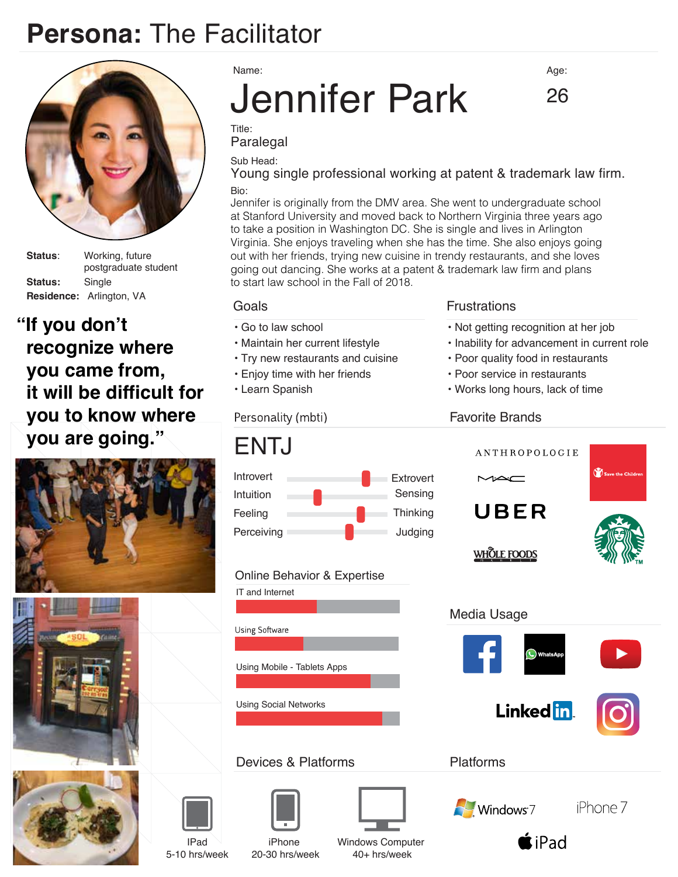# **Persona:** The Facilitator



**Status**: Working, future postgraduate student **Status:** Single **Residence:** Arlington, VA

**"If you don't recognize where you came from, it will be difficult for you to know where you are going."**







Name:

# Jennifer Park

Age:

26

Title: Paralegal

Sub Head:

Bio: Young single professional working at patent & trademark law firm.

Jennifer is originally from the DMV area. She went to undergraduate school at Stanford University and moved back to Northern Virginia three years ago to take a position in Washington DC. She is single and lives in Arlington Virginia. She enjoys traveling when she has the time. She also enjoys going out with her friends, trying new cuisine in trendy restaurants, and she loves going out dancing. She works at a patent & trademark law firm and plans to start law school in the Fall of 2018.

- Go to law school
- Maintain her current lifestyle
- Try new restaurants and cuisine
- Enjoy time with her friends
- Learn Spanish

#### Personality (mbti)

# ENTJ



#### Online Behavior & Expertise



#### Devices & Platforms





20-30 hrs/week

Windows Computer 40+ hrs/week

#### Goals **Frustrations**

- Not getting recognition at her job
- Inability for advancement in current role
- Poor quality food in restaurants
- Poor service in restaurants
- Works long hours, lack of time

#### Favorite Brands



IPad 5-10 hrs/week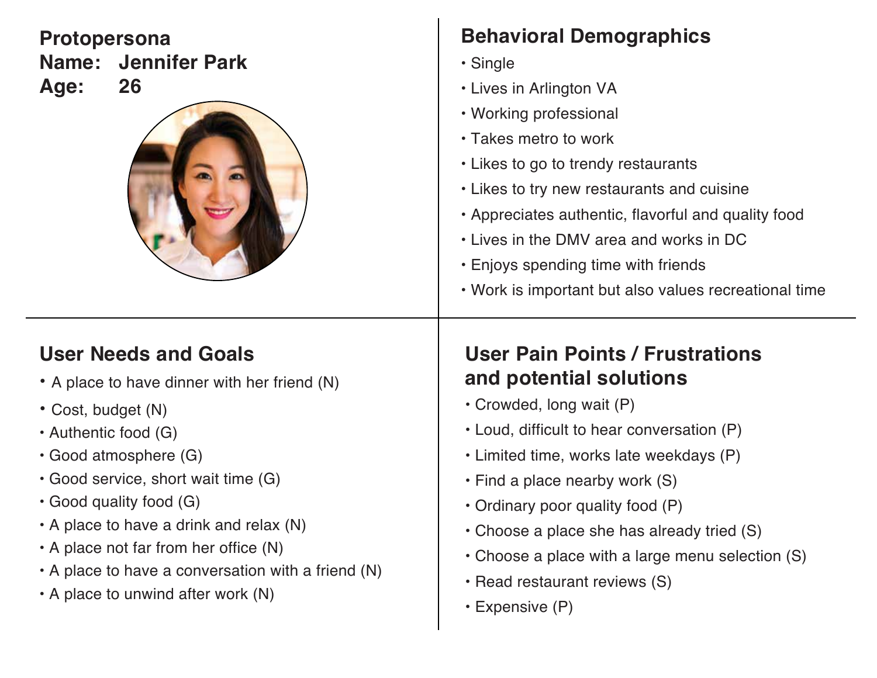**Protopersona Name: Jennifer Park Age: 26**



# **Behavioral Demographics**

- Single
- Lives in Arlington VA
- Working professional
- Takes metro to work
- Likes to go to trendy restaurants
- Likes to try new restaurants and cuisine
- Appreciates authentic, flavorful and quality food
- Lives in the DMV area and works in DC
- Enjoys spending time with friends
- Work is important but also values recreational time

# **User Needs and Goals**

- A place to have dinner with her friend (N)
- Cost, budget (N)
- Authentic food (G)
- Good atmosphere (G)
- Good service, short wait time (G)
- Good quality food (G)
- A place to have a drink and relax (N)
- $\cdot$  A place not far from her office (N)
- A place to have a conversation with a friend (N)
- A place to unwind after work (N)

# **User Pain Points / Frustrations and potential solutions**

- Crowded, long wait (P)
- Loud, difficult to hear conversation (P)
- Limited time, works late weekdays (P)
- Find a place nearby work (S)
- Ordinary poor quality food (P)
- Choose a place she has already tried (S)
- Choose a place with a large menu selection (S)
- Read restaurant reviews (S)
- Expensive (P)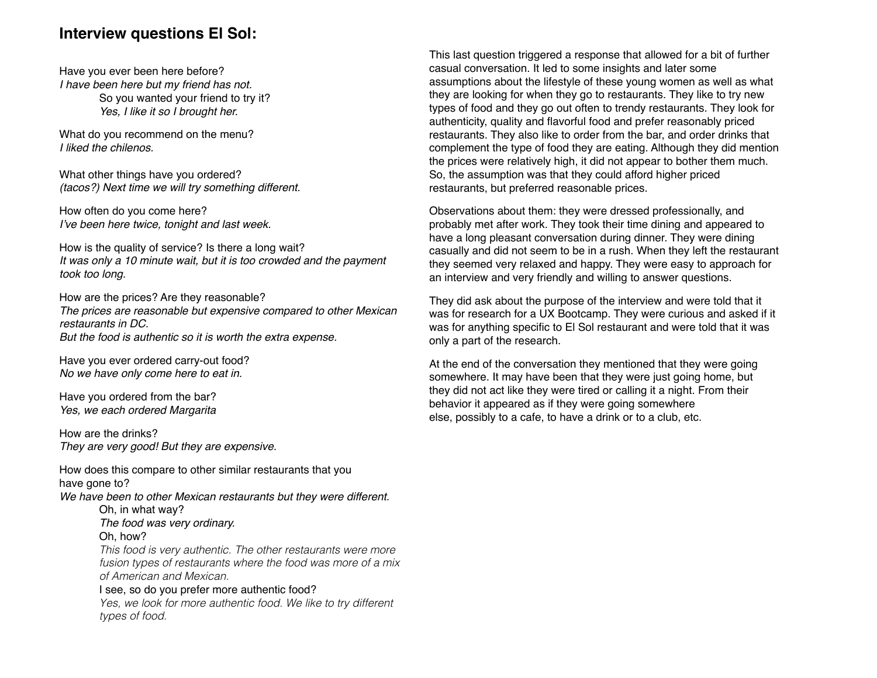#### **Interview questions El Sol:**

Have you ever been here before? *I have been here but my friend has not.*  So you wanted your friend to try it? *Yes, I like it so I brought her.*

What do you recommend on the menu? *I liked the chilenos.*

What other things have you ordered? *(tacos?) Next time we will try something different.*

How often do you come here? I've been here twice, tonight and last week.

How is the quality of service? Is there a long wait? *It was only a 10 minute wait, but it is too crowded and the payment took too long.*

How are the prices? Are they reasonable? *The prices are reasonable but expensive compared to other Mexican restaurants in DC. But the food is authentic so it is worth the extra expense.*

Have you ever ordered carry-out food? *No we have only come here to eat in.*

Have you ordered from the bar? *Yes, we each ordered Margarita*

How are the drinks? *They are very good! But they are expensive.*

How does this compare to other similar restaurants that you have gone to? *We have been to other Mexican restaurants but they were different.* Oh, in what way? *The food was very ordinary.* Oh, how? *This food is very authentic. The other restaurants were more fusion types of restaurants where the food was more of a mix of American and Mexican.* I see, so do you prefer more authentic food? *Yes, we look for more authentic food. We like to try different types of food.*

This last question triggered a response that allowed for a bit of further casual conversation. It led to some insights and later some assumptions about the lifestyle of these young women as well as what they are looking for when they go to restaurants. They like to try new types of food and they go out often to trendy restaurants. They look for authenticity, quality and flavorful food and prefer reasonably priced restaurants. They also like to order from the bar, and order drinks that complement the type of food they are eating. Although they did mention the prices were relatively high, it did not appear to bother them much. So, the assumption was that they could afford higher priced restaurants, but preferred reasonable prices.

Observations about them: they were dressed professionally, and probably met after work. They took their time dining and appeared to have a long pleasant conversation during dinner. They were dining casually and did not seem to be in a rush. When they left the restaurant they seemed very relaxed and happy. They were easy to approach for an interview and very friendly and willing to answer questions.

They did ask about the purpose of the interview and were told that it was for research for a UX Bootcamp. They were curious and asked if it was for anything specific to El Sol restaurant and were told that it was only a part of the research.

At the end of the conversation they mentioned that they were going somewhere. It may have been that they were just going home, but they did not act like they were tired or calling it a night. From their behavior it appeared as if they were going somewhere else, possibly to a cafe, to have a drink or to a club, etc.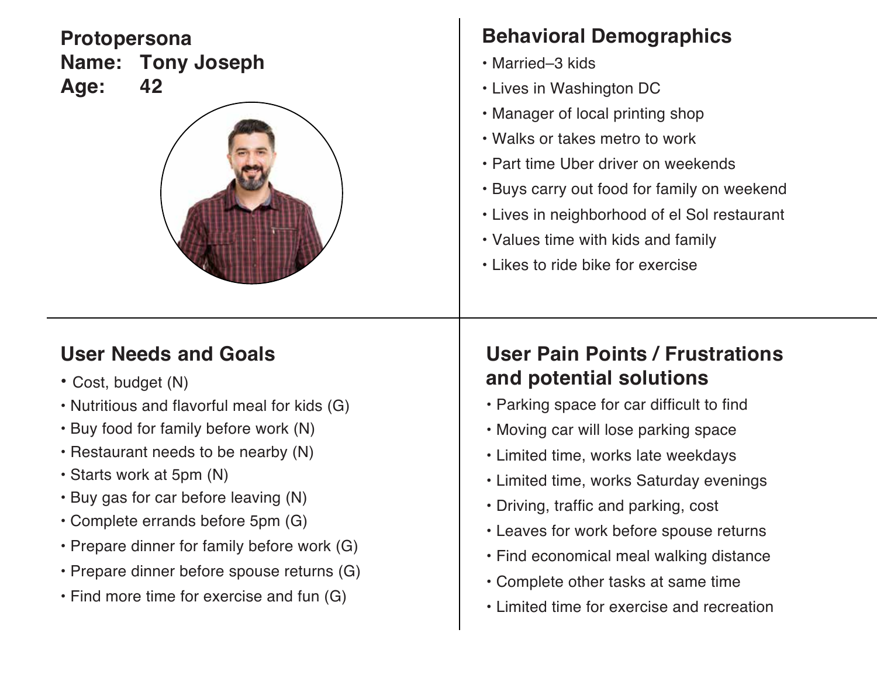#### **Protopersona Name: Tony Joseph Age: 42**



# **Behavioral Demographics**

- Married–3 kids
- Lives in Washington DC
- Manager of local printing shop
- Walks or takes metro to work
- Part time Uber driver on weekends
- Buys carry out food for family on weekend
- Lives in neighborhood of el Sol restaurant
- Values time with kids and family
- Likes to ride bike for exercise

#### **User Needs and Goals**

- Cost, budget (N)
- Nutritious and flavorful meal for kids (G)
- Buy food for family before work (N)
- Restaurant needs to be nearby (N)
- Starts work at 5pm (N)
- Buy gas for car before leaving (N)
- Complete errands before 5pm (G)
- Prepare dinner for family before work (G)
- Prepare dinner before spouse returns (G)
- Find more time for exercise and fun (G)

# **User Pain Points / Frustrations and potential solutions**

- Parking space for car difficult to find
- Moving car will lose parking space
- Limited time, works late weekdays
- Limited time, works Saturday evenings
- Driving, traffic and parking, cost
- Leaves for work before spouse returns
- Find economical meal walking distance
- Complete other tasks at same time
- Limited time for exercise and recreation